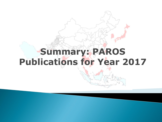# **Summary: PAROS Publications for Year 2017**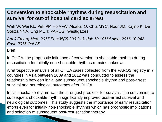### **Conversion to shockable rhythms during resuscitation and survival for out-of hospital cardiac arrest.**

Wah W, Wai KL, Pek PP, Ho AFW, Alsakaf O, Chia MYC, Noor JM, Kajino K, De Souza NNA, Ong MEH; PAROS Investigators.

*Am J Emerg Med. 2017 Feb;35(2):206-213. doi: 10.1016/j.ajem.2016.10.042. Epub 2016 Oct 25.*

Brief:

In OHCA, the prognostic influence of conversion to shockable rhythms during resuscitation for initially non-shockable rhythms remains unknown.

A retrospective analysis of all OHCA cases collected from the PAROS registry in 7 countries in Asia between 2009 and 2012 was conducted to assess the relationship between initial and subsequent shockable rhythm and post-arrest survival and neurological outcomes after OHCA.

Initial shockable rhythm was the strongest predictor for survival. The conversion to subsequent shockable rhythm significantly improved post-arrest survival and neurological outcomes. This study suggests the importance of early resuscitation efforts even for initially non-shockable rhythms which has prognostic implications and selection of subsequent post-resuscitation therapy.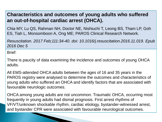### **Characteristics and outcomes of young adults who suffered an out-of-hospital cardiac arrest (OHCA).**

Chia MY, Lu QS, Rahman NH, Doctor NE, Nishiuchi T, Leong BS, Tham LP, Goh ES, Tiah L, Monsomboon A, Ong ME; PAROS Clinical Research Network.

*Resuscitation. 2017 Feb;111:34-40. doi: 10.1016/j.resuscitation.2016.11.019. Epub 2016 Dec 5*

Brief:

There is paucity of data examining the incidence and outcomes of young OHCA adults.

All EMS-attended OHCA adults between the ages of 16 and 35 years in the PAROS registry were analysed to determine the outcomes and characteristics of young adults who suffered an OHCA and identify factors that are associated with favourable neurologic outcomes.

OHCA among young adults are not uncommon. Traumatic OHCA, occurring most frequently in young adults had dismal prognosis. First arrest rhythms of VF/VT/unknown shockable rhythm, cardiac etiology, bystander-witnessed arrest, and bystander CPR were associated with favourable neurological outcomes.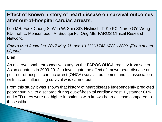#### **Effect of known history of heart disease on survival outcomes after out-of-hospital cardiac arrests.**

Lee MH, Fook-Chong S, Wah W, Shin SD, Nishiuchi T, Ko PC, Naroo GY, Wong KD, Tiah L, Monsomboon A, Siddiqui FJ, Ong ME; PAROS Clinical Research Network.

*Emerg Med Australas. 2017 May 31. doi: 10.1111/1742-6723.12809. [Epub ahead of print]*

Brief:

An observational, retrospective study on the PAROS OHCA registry from seven Asian countries in 2009-2012 to investigate the effect of known heart disease on post-out-of-hospital cardiac arrest (OHCA) survival outcomes, and its association with factors influencing survival was carried out.

From this study it was shown that history of heart disease independently predicted poorer survival to discharge during out-of-hospital cardiac arrest. Bystander CPR and AED rates were not higher in patients with known heart disease compared to those without.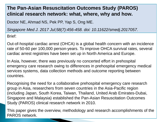# **The Pan-Asian Resuscitation Outcomes Study (PAROS) clinical research network: what, where, why and how.**

Doctor NE, Ahmad NS, Pek PP, Yap S, Ong ME.

*Singapore Med J. 2017 Jul;58(7):456-458. doi: 10.11622/smedj.2017057.*

Brief:

Out-of-hospital cardiac arrest (OHCA) is a global health concern with an incidence rate of 50-60 per 100,000 person-years. To improve OHCA survival rates, several cardiac arrest registries have been set up in North America and Europe.

In Asia, however, there was previously no concerted effort in prehospital emergency care research owing to differences in prehospital emergency medical services systems, data collection methods and outcome reporting between countries.

Recognising the need for a collaborative prehospital emergency care research group in Asia, researchers from seven countries in the Asia-Pacific region (including Japan, South Korea, Taiwan, Thailand, United Arab Emirates-Dubai, Singapore and Malaysia) established the Pan-Asian Resuscitation Outcomes Study (PAROS) clinical research network in 2010.

This paper gives the overview, methodology and research accomplishments of the PAROS network.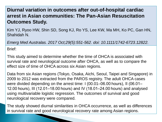# **Diurnal variation in outcomes after out-of-hospital cardiac arrest in Asian communities: The Pan-Asian Resuscitation Outcomes Study.**

Kim YJ, Ryoo HW, Shin SD, Song KJ, Ro YS, Lee KW, Ma MH, Ko PC, Gan HN, Shahidah N.

*Emerg Med Australas. 2017 Oct;29(5):551-562. doi: 10.1111/1742-6723.12822.*

Brief:

This study aimed to determine whether the time of OHCA is associated with survival rate and neurological outcome after OHCA, as well as to compare the effect size of time of OHCA across six Asian regions.

Data from six Asian regions (Tokyo, Osaka, Aichi, Seoul, Taipei and Singapore) in 2009 to 2012 was extracted from the PAROS registry. The adult OHCA cases were divided depending on the arrest time: I (00.01–06.00 hours), II (06.01– 12.00 hours), III (12.01–18.00 hours) and IV (18.01–24.00 hours) and analysed using multivariable logistic regression. The outcomes of survival and good neurological recovery were compared.

The study showed diurnal similarities in OHCA occurrence, as well as differences in survival rate and good neurological recovery rate among Asian regions.